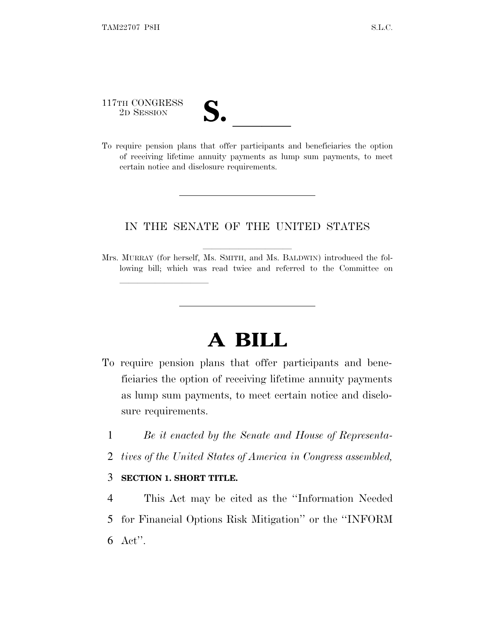117TH CONGRESS

lland and a state of the state of the state of the state of the state of the state of the state of the state o

| T                       |  |
|-------------------------|--|
| $\overline{\mathsf{v}}$ |  |

117TH CONGRESS<br>
2D SESSION<br>
To require pension plans that offer participants and beneficiaries the option of receiving lifetime annuity payments as lump sum payments, to meet certain notice and disclosure requirements.

### IN THE SENATE OF THE UNITED STATES

Mrs. MURRAY (for herself, Ms. SMITH, and Ms. BALDWIN) introduced the following bill; which was read twice and referred to the Committee on

# **A BILL**

- To require pension plans that offer participants and beneficiaries the option of receiving lifetime annuity payments as lump sum payments, to meet certain notice and disclosure requirements.
	- 1 *Be it enacted by the Senate and House of Representa-*
	- 2 *tives of the United States of America in Congress assembled,*

#### 3 **SECTION 1. SHORT TITLE.**

4 This Act may be cited as the ''Information Needed 5 for Financial Options Risk Mitigation'' or the ''INFORM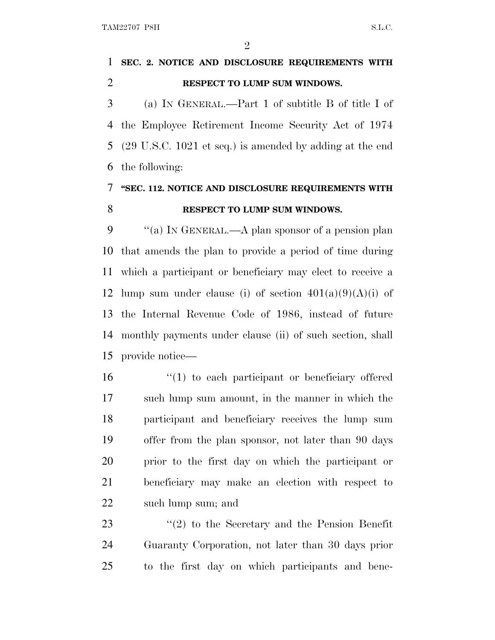## **SEC. 2. NOTICE AND DISCLOSURE REQUIREMENTS WITH RESPECT TO LUMP SUM WINDOWS.**

 (a) I<sup>N</sup> GENERAL.—Part 1 of subtitle B of title I of the Employee Retirement Income Security Act of 1974 (29 U.S.C. 1021 et seq.) is amended by adding at the end the following:

### **''SEC. 112. NOTICE AND DISCLOSURE REQUIREMENTS WITH RESPECT TO LUMP SUM WINDOWS.**

 ''(a) I<sup>N</sup> GENERAL.—A plan sponsor of a pension plan that amends the plan to provide a period of time during which a participant or beneficiary may elect to receive a 12 lump sum under clause (i) of section  $401(a)(9)(A)(i)$  of the Internal Revenue Code of 1986, instead of future monthly payments under clause (ii) of such section, shall provide notice—

 ''(1) to each participant or beneficiary offered such lump sum amount, in the manner in which the participant and beneficiary receives the lump sum offer from the plan sponsor, not later than 90 days prior to the first day on which the participant or beneficiary may make an election with respect to such lump sum; and

23 ''(2) to the Secretary and the Pension Benefit Guaranty Corporation, not later than 30 days prior to the first day on which participants and bene-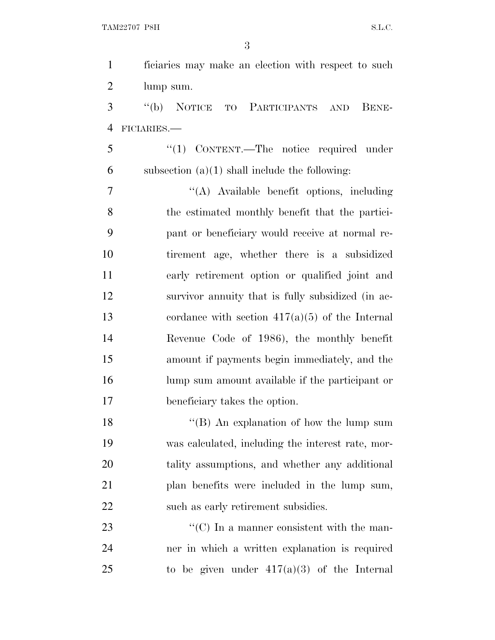| $\mathbf{1}$   | ficiaries may make an election with respect to such            |
|----------------|----------------------------------------------------------------|
| $\overline{2}$ | lump sum.                                                      |
| 3              | "(b) NOTICE TO PARTICIPANTS AND BENE-                          |
| $\overline{4}$ | FICIARIES.-                                                    |
| 5              | $\lq(1)$ CONTENT.—The notice required under                    |
| 6              | subsection $(a)(1)$ shall include the following:               |
| $\overline{7}$ | "(A) Available benefit options, including                      |
| 8              | the estimated monthly benefit that the partici-                |
| 9              | pant or beneficiary would receive at normal re-                |
| 10             | tirement age, whether there is a subsidized                    |
| 11             | early retirement option or qualified joint and                 |
| 12             | survivor annuity that is fully subsidized (in ac-              |
| 13             | cordance with section $417(a)(5)$ of the Internal              |
| 14             | Revenue Code of 1986), the monthly benefit                     |
| 15             | amount if payments begin immediately, and the                  |
| 16             | lump sum amount available if the participant or                |
| 17             | beneficiary takes the option.                                  |
| 18             | "(B) An explanation of how the lump sum                        |
| 19             | was calculated, including the interest rate, mor-              |
| 20             | tality assumptions, and whether any additional                 |
| 21             | plan benefits were included in the lump sum,                   |
| 22             | such as early retirement subsidies.                            |
| 23             | $\lq\lq$ <sup>c</sup> (C) In a manner consistent with the man- |
| 24             | ner in which a written explanation is required                 |
| 25             | to be given under $417(a)(3)$ of the Internal                  |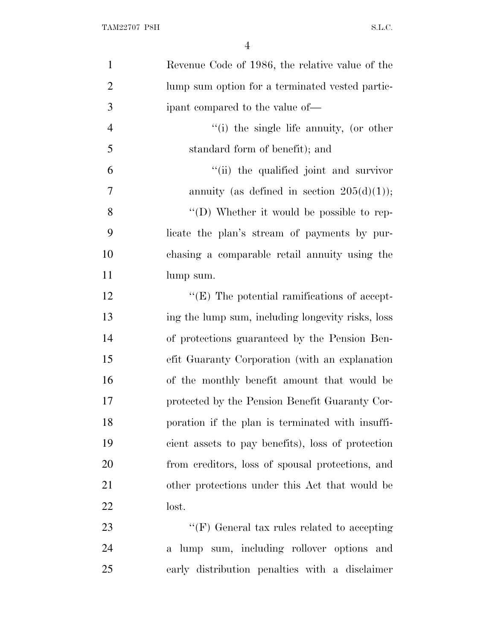| $\mathbf{1}$   | Revenue Code of 1986, the relative value of the     |
|----------------|-----------------------------------------------------|
| $\overline{2}$ | lump sum option for a terminated vested partic-     |
| 3              | ipant compared to the value of—                     |
| $\overline{4}$ | "(i) the single life annuity, (or other             |
| 5              | standard form of benefit); and                      |
| 6              | "(ii) the qualified joint and survivor              |
| $\overline{7}$ | annuity (as defined in section $205(d)(1)$ );       |
| 8              | "(D) Whether it would be possible to rep-           |
| 9              | licate the plan's stream of payments by pur-        |
| 10             | chasing a comparable retail annuity using the       |
| 11             | lump sum.                                           |
| 12             | $\lq\lq$ (E) The potential ramifications of accept- |
| 13             | ing the lump sum, including longevity risks, loss   |
| 14             | of protections guaranteed by the Pension Ben-       |
| 15             | efit Guaranty Corporation (with an explanation      |
| 16             | of the monthly benefit amount that would be         |
| 17             | protected by the Pension Benefit Guaranty Cor-      |
| 18             | poration if the plan is terminated with insuffi-    |
| 19             | cient assets to pay benefits), loss of protection   |
| 20             | from creditors, loss of spousal protections, and    |
| 21             | other protections under this Act that would be      |
| <u>22</u>      | lost.                                               |
| 23             | " $(F)$ General tax rules related to accepting      |
| 24             | a lump sum, including rollover options and          |
| 25             | early distribution penalties with a disclaimer      |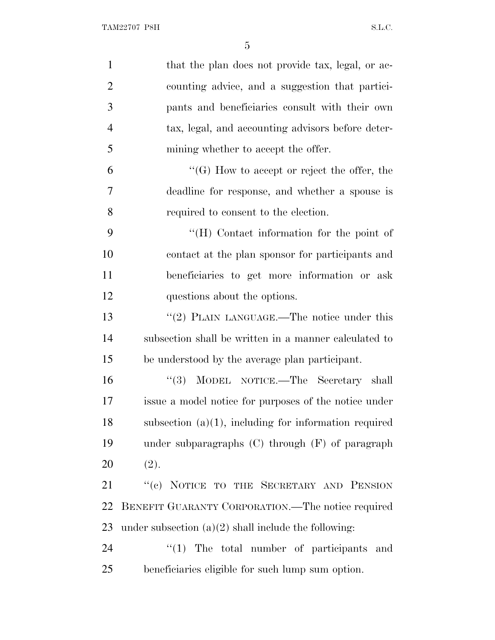| $\mathbf{1}$   | that the plan does not provide tax, legal, or ac-        |
|----------------|----------------------------------------------------------|
| $\overline{2}$ | counting advice, and a suggestion that partici-          |
| 3              | pants and beneficiaries consult with their own           |
| $\overline{4}$ | tax, legal, and accounting advisors before deter-        |
| 5              | mining whether to accept the offer.                      |
| 6              | $\lq\lq(G)$ How to accept or reject the offer, the       |
| 7              | deadline for response, and whether a spouse is           |
| 8              | required to consent to the election.                     |
| 9              | "(H) Contact information for the point of                |
| 10             | contact at the plan sponsor for participants and         |
| 11             | beneficiaries to get more information or ask             |
| 12             | questions about the options.                             |
| 13             | "(2) PLAIN LANGUAGE.—The notice under this               |
| 14             | subsection shall be written in a manner calculated to    |
| 15             | be understood by the average plan participant.           |
| 16             | "(3) MODEL NOTICE.—The Secretary shall                   |
| 17             | issue a model notice for purposes of the notice under    |
| 18             | subsection $(a)(1)$ , including for information required |
| 19             | under subparagraphs $(C)$ through $(F)$ of paragraph     |
| 20             | (2).                                                     |
| 21             | "(c) NOTICE TO THE SECRETARY AND PENSION                 |
| 22             | BENEFIT GUARANTY CORPORATION.—The notice required        |
| 23             | under subsection $(a)(2)$ shall include the following:   |
| 24             | $\lq(1)$ The total number of participants<br>and         |
| 25             | beneficiaries eligible for such lump sum option.         |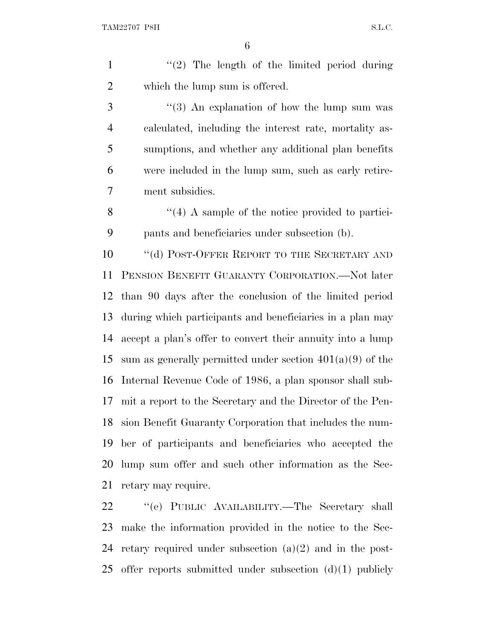1  $\frac{1}{2}$  The length of the limited period during which the lump sum is offered.

3 ''(3) An explanation of how the lump sum was calculated, including the interest rate, mortality as- sumptions, and whether any additional plan benefits were included in the lump sum, such as early retire-ment subsidies.

8 ''(4) A sample of the notice provided to partici-pants and beneficiaries under subsection (b).

10 "(d) POST-OFFER REPORT TO THE SECRETARY AND PENSION BENEFIT GUARANTY CORPORATION.—Not later than 90 days after the conclusion of the limited period during which participants and beneficiaries in a plan may accept a plan's offer to convert their annuity into a lump 15 sum as generally permitted under section  $401(a)(9)$  of the Internal Revenue Code of 1986, a plan sponsor shall sub- mit a report to the Secretary and the Director of the Pen- sion Benefit Guaranty Corporation that includes the num- ber of participants and beneficiaries who accepted the lump sum offer and such other information as the Sec-retary may require.

 ''(e) PUBLIC AVAILABILITY.—The Secretary shall make the information provided in the notice to the Sec- retary required under subsection (a)(2) and in the post-25 offer reports submitted under subsection  $(d)(1)$  publicly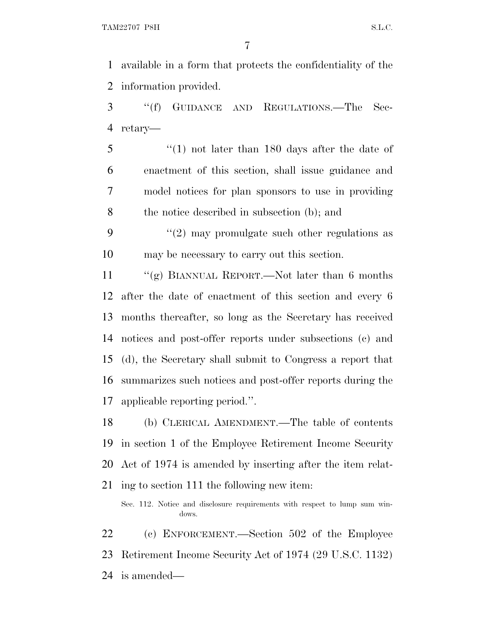available in a form that protects the confidentiality of the information provided.

 ''(f) GUIDANCE AND REGULATIONS.—The Sec-retary—

 ''(1) not later than 180 days after the date of enactment of this section, shall issue guidance and model notices for plan sponsors to use in providing the notice described in subsection (b); and

9  $(2)$  may promulgate such other regulations as may be necessary to carry out this section.

 ''(g) BIANNUAL REPORT.—Not later than 6 months after the date of enactment of this section and every 6 months thereafter, so long as the Secretary has received notices and post-offer reports under subsections (c) and (d), the Secretary shall submit to Congress a report that summarizes such notices and post-offer reports during the applicable reporting period.''.

 (b) CLERICAL AMENDMENT.—The table of contents in section 1 of the Employee Retirement Income Security Act of 1974 is amended by inserting after the item relat-

ing to section 111 the following new item:

 (c) ENFORCEMENT.—Section 502 of the Employee Retirement Income Security Act of 1974 (29 U.S.C. 1132) is amended—

Sec. 112. Notice and disclosure requirements with respect to lump sum windows.